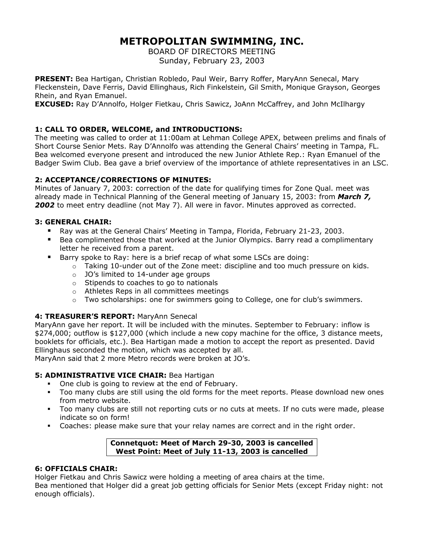# **METROPOLITAN SWIMMING, INC.**

BOARD OF DIRECTORS MEETING Sunday, February 23, 2003

**PRESENT:** Bea Hartigan, Christian Robledo, Paul Weir, Barry Roffer, MaryAnn Senecal, Mary Fleckenstein, Dave Ferris, David Ellinghaus, Rich Finkelstein, Gil Smith, Monique Grayson, Georges Rhein, and Ryan Emanuel.

**EXCUSED:** Ray D'Annolfo, Holger Fietkau, Chris Sawicz, JoAnn McCaffrey, and John McIlhargy

# **1: CALL TO ORDER, WELCOME, and INTRODUCTIONS:**

The meeting was called to order at 11:00am at Lehman College APEX, between prelims and finals of Short Course Senior Mets. Ray D'Annolfo was attending the General Chairs' meeting in Tampa, FL. Bea welcomed everyone present and introduced the new Junior Athlete Rep.: Ryan Emanuel of the Badger Swim Club. Bea gave a brief overview of the importance of athlete representatives in an LSC.

## **2: ACCEPTANCE/CORRECTIONS OF MINUTES:**

Minutes of January 7, 2003: correction of the date for qualifying times for Zone Qual. meet was already made in Technical Planning of the General meeting of January 15, 2003: from *March 7,*  2002 to meet entry deadline (not May 7). All were in favor. Minutes approved as corrected.

## **3: GENERAL CHAIR:**

- Ray was at the General Chairs' Meeting in Tampa, Florida, February 21-23, 2003.
- Bea complimented those that worked at the Junior Olympics. Barry read a complimentary letter he received from a parent.
- Barry spoke to Ray: here is a brief recap of what some LSCs are doing:
	- $\circ$  Taking 10-under out of the Zone meet: discipline and too much pressure on kids.
	- o JO's limited to 14-under age groups
	- o Stipends to coaches to go to nationals
	- o Athletes Reps in all committees meetings
	- $\circ$  Two scholarships: one for swimmers going to College, one for club's swimmers.

## **4: TREASURER'S REPORT:** MaryAnn Senecal

MaryAnn gave her report. It will be included with the minutes. September to February: inflow is \$274,000; outflow is \$127,000 (which include a new copy machine for the office, 3 distance meets, booklets for officials, etc.). Bea Hartigan made a motion to accept the report as presented. David Ellinghaus seconded the motion, which was accepted by all.

MaryAnn said that 2 more Metro records were broken at JO's.

## **5: ADMINISTRATIVE VICE CHAIR: Bea Hartigan**

- One club is going to review at the end of February.
- Too many clubs are still using the old forms for the meet reports. Please download new ones from metro website.
- Too many clubs are still not reporting cuts or no cuts at meets. If no cuts were made, please indicate so on form!
- Coaches: please make sure that your relay names are correct and in the right order.

#### **Connetquot: Meet of March 29-30, 2003 is cancelled West Point: Meet of July 11-13, 2003 is cancelled**

#### **6: OFFICIALS CHAIR:**

Holger Fietkau and Chris Sawicz were holding a meeting of area chairs at the time.

Bea mentioned that Holger did a great job getting officials for Senior Mets (except Friday night: not enough officials).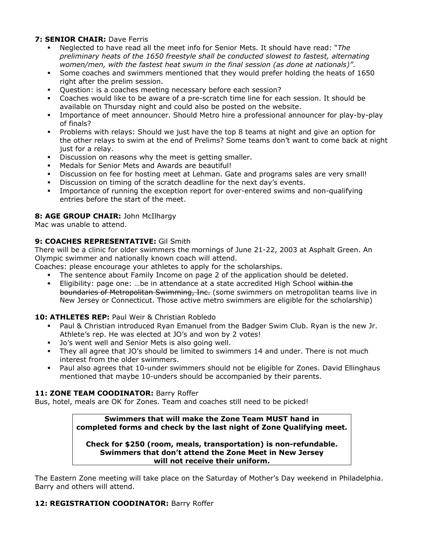## **7: SENIOR CHAIR:** Dave Ferris

- Neglected to have read all the meet info for Senior Mets. It should have read: "*The preliminary heats of the 1650 freestyle shall be conducted slowest to fastest, alternating women/men, with the fastest heat swum in the final session (as done at nationals)"*.
- Some coaches and swimmers mentioned that they would prefer holding the heats of 1650 right after the prelim session.
- Question: is a coaches meeting necessary before each session?
- Coaches would like to be aware of a pre-scratch time line for each session. It should be available on Thursday night and could also be posted on the website.
- Importance of meet announcer. Should Metro hire a professional announcer for play-by-play of finals?
- Problems with relays: Should we just have the top 8 teams at night and give an option for the other relays to swim at the end of Prelims? Some teams don't want to come back at night just for a relay.
- Discussion on reasons why the meet is getting smaller.
- Medals for Senior Mets and Awards are beautiful!
- Discussion on fee for hosting meet at Lehman. Gate and programs sales are very small!
- Discussion on timing of the scratch deadline for the next day's events.
- Importance of running the exception report for over-entered swims and non-qualifying entries before the start of the meet.

## **8: AGE GROUP CHAIR:** John McIlhargy

Mac was unable to attend.

## **9: COACHES REPRESENTATIVE:** Gil Smith

There will be a clinic for older swimmers the mornings of June 21-22, 2003 at Asphalt Green. An Olympic swimmer and nationally known coach will attend.

Coaches: please encourage your athletes to apply for the scholarships.

- The sentence about Family Income on page 2 of the application should be deleted.
- **Eligibility: page one: …be in attendance at a state accredited High School <del>within the</del>** boundaries of Metropolitan Swimming, Inc. (some swimmers on metropolitan teams live in New Jersey or Connecticut. Those active metro swimmers are eligible for the scholarship)

#### **10: ATHLETES REP:** Paul Weir & Christian Robledo

- Paul & Christian introduced Ryan Emanuel from the Badger Swim Club. Ryan is the new Jr. Athlete's rep. He was elected at JO's and won by 2 votes!
- **Jo's went well and Senior Mets is also going well.**
- They all agree that JO's should be limited to swimmers 14 and under. There is not much interest from the older swimmers.
- Paul also agrees that 10-under swimmers should not be eligible for Zones. David Ellinghaus mentioned that maybe 10-unders should be accompanied by their parents.

#### **11: ZONE TEAM COODINATOR:** Barry Roffer

Bus, hotel, meals are OK for Zones. Team and coaches still need to be picked!

**Swimmers that will make the Zone Team MUST hand in completed forms and check by the last night of Zone Qualifying meet.** 

#### **Check for \$250 (room, meals, transportation) is non-refundable. Swimmers that don't attend the Zone Meet in New Jersey will not receive their uniform.**

The Eastern Zone meeting will take place on the Saturday of Mother's Day weekend in Philadelphia. Barry and others will attend.

#### 12: REGISTRATION COODINATOR: Barry Roffer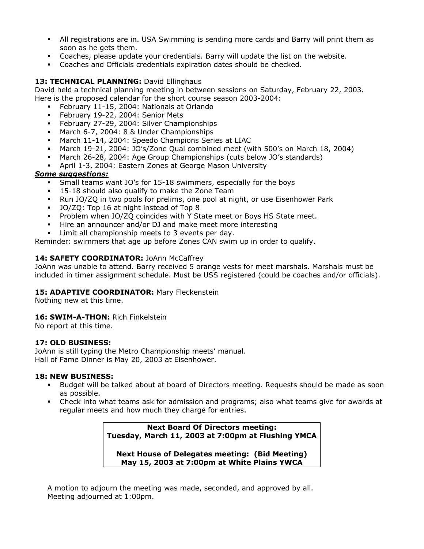- All registrations are in. USA Swimming is sending more cards and Barry will print them as soon as he gets them.
- Coaches, please update your credentials. Barry will update the list on the website.
- Coaches and Officials credentials expiration dates should be checked.

## 13: TECHNICAL PLANNING: David Ellinghaus

David held a technical planning meeting in between sessions on Saturday, February 22, 2003. Here is the proposed calendar for the short course season 2003-2004:

- February 11-15, 2004: Nationals at Orlando
- February 19-22, 2004: Senior Mets
- **February 27-29, 2004: Silver Championships**
- March 6-7, 2004: 8 & Under Championships
- March 11-14, 2004: Speedo Champions Series at LIAC
- March 19-21, 2004: JO's/Zone Qual combined meet (with 500's on March 18, 2004)
- March 26-28, 2004: Age Group Championships (cuts below JO's standards)
- April 1-3, 2004: Eastern Zones at George Mason University

## *Some suggestions:*

- Small teams want JO's for 15-18 swimmers, especially for the boys
- **15-18 should also qualify to make the Zone Team**
- Run JO/ZQ in two pools for prelims, one pool at night, or use Eisenhower Park
- JO/ZQ: Top 16 at night instead of Top 8
- Problem when JO/ZQ coincides with Y State meet or Boys HS State meet.
- Hire an announcer and/or DJ and make meet more interesting
- Limit all championship meets to 3 events per day.

Reminder: swimmers that age up before Zones CAN swim up in order to qualify.

## 14: SAFETY COORDINATOR: JoAnn McCaffrey

JoAnn was unable to attend. Barry received 5 orange vests for meet marshals. Marshals must be included in timer assignment schedule. Must be USS registered (could be coaches and/or officials).

#### 15: **ADAPTIVE COORDINATOR:** Mary Fleckenstein

Nothing new at this time.

## 16: **SWIM-A-THON:** Rich Finkelstein

No report at this time.

#### **17: OLD BUSINESS:**

JoAnn is still typing the Metro Championship meets' manual. Hall of Fame Dinner is May 20, 2003 at Eisenhower.

#### **18: NEW BUSINESS:**

- Budget will be talked about at board of Directors meeting. Requests should be made as soon as possible.
- Check into what teams ask for admission and programs; also what teams give for awards at regular meets and how much they charge for entries.

**Next Board Of Directors meeting: Tuesday, March 11, 2003 at 7:00pm at Flushing YMCA** 

**Next House of Delegates meeting: (Bid Meeting) May 15, 2003 at 7:00pm at White Plains YWCA** 

A motion to adjourn the meeting was made, seconded, and approved by all. Meeting adjourned at 1:00pm.